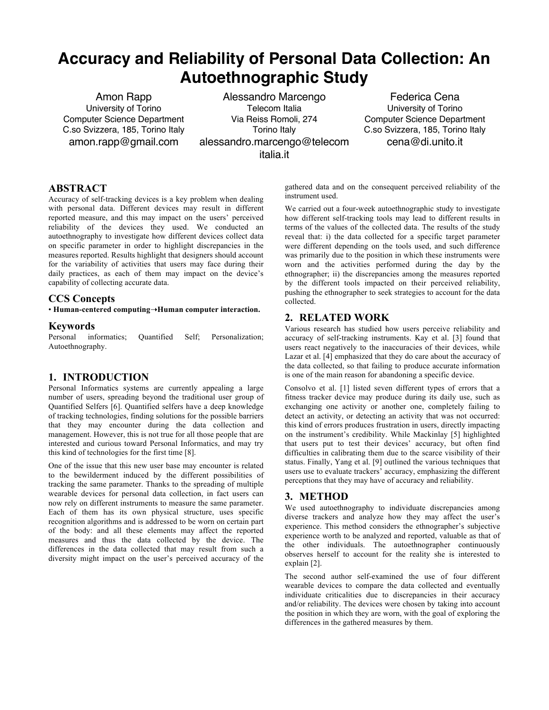# **Accuracy and Reliability of Personal Data Collection: An Autoethnographic Study**

Amon Rapp University of Torino Computer Science Department C.so Svizzera, 185, Torino Italy amon.rapp@gmail.com

Alessandro Marcengo Telecom Italia Via Reiss Romoli, 274 Torino Italy alessandro.marcengo@telecom italia.it

Federica Cena University of Torino Computer Science Department C.so Svizzera, 185, Torino Italy cena@di.unito.it

## **ABSTRACT**

Accuracy of self-tracking devices is a key problem when dealing with personal data. Different devices may result in different reported measure, and this may impact on the users' perceived reliability of the devices they used. We conducted an autoethnography to investigate how different devices collect data on specific parameter in order to highlight discrepancies in the measures reported. Results highlight that designers should account for the variability of activities that users may face during their daily practices, as each of them may impact on the device's capability of collecting accurate data.

### **CCS Concepts**

• **Human-centered computing**➝**Human computer interaction.**

#### **Keywords**

Personal informatics; Quantified Self; Personalization; Autoethnography.

## **1. INTRODUCTION**

Personal Informatics systems are currently appealing a large number of users, spreading beyond the traditional user group of Quantified Selfers [6]. Quantified selfers have a deep knowledge of tracking technologies, finding solutions for the possible barriers that they may encounter during the data collection and management. However, this is not true for all those people that are interested and curious toward Personal Informatics, and may try this kind of technologies for the first time [8].

One of the issue that this new user base may encounter is related to the bewilderment induced by the different possibilities of tracking the same parameter. Thanks to the spreading of multiple wearable devices for personal data collection, in fact users can now rely on different instruments to measure the same parameter. Each of them has its own physical structure, uses specific recognition algorithms and is addressed to be worn on certain part of the body: and all these elements may affect the reported measures and thus the data collected by the device. The differences in the data collected that may result from such a diversity might impact on the user's perceived accuracy of the

gathered data and on the consequent perceived reliability of the instrument used.

We carried out a four-week autoethnographic study to investigate how different self-tracking tools may lead to different results in terms of the values of the collected data. The results of the study reveal that: i) the data collected for a specific target parameter were different depending on the tools used, and such difference was primarily due to the position in which these instruments were worn and the activities performed during the day by the ethnographer; ii) the discrepancies among the measures reported by the different tools impacted on their perceived reliability, pushing the ethnographer to seek strategies to account for the data collected.

## **2. RELATED WORK**

Various research has studied how users perceive reliability and accuracy of self-tracking instruments. Kay et al. [3] found that users react negatively to the inaccuracies of their devices, while Lazar et al. [4] emphasized that they do care about the accuracy of the data collected, so that failing to produce accurate information is one of the main reason for abandoning a specific device.

Consolvo et al. [1] listed seven different types of errors that a fitness tracker device may produce during its daily use, such as exchanging one activity or another one, completely failing to detect an activity, or detecting an activity that was not occurred: this kind of errors produces frustration in users, directly impacting on the instrument's credibility. While Mackinlay [5] highlighted that users put to test their devices' accuracy, but often find difficulties in calibrating them due to the scarce visibility of their status. Finally, Yang et al. [9] outlined the various techniques that users use to evaluate trackers' accuracy, emphasizing the different perceptions that they may have of accuracy and reliability.

### **3. METHOD**

We used autoethnography to individuate discrepancies among diverse trackers and analyze how they may affect the user's experience. This method considers the ethnographer's subjective experience worth to be analyzed and reported, valuable as that of the other individuals. The autoethnographer continuously observes herself to account for the reality she is interested to explain [2].

The second author self-examined the use of four different wearable devices to compare the data collected and eventually individuate criticalities due to discrepancies in their accuracy and/or reliability. The devices were chosen by taking into account the position in which they are worn, with the goal of exploring the differences in the gathered measures by them.